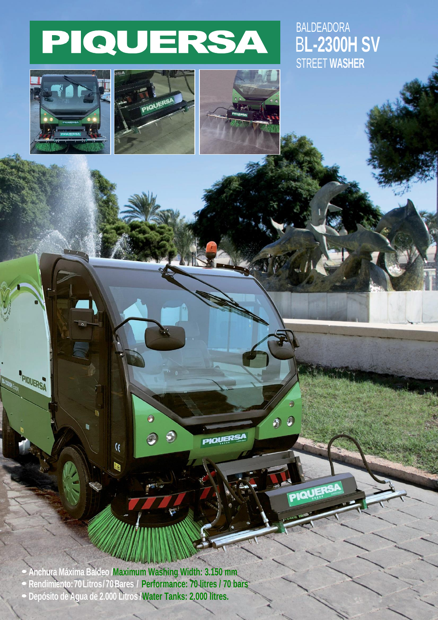## PIQUERSA

## STREET **WASHER** B**L-2300H SV** BALDEADORA



PIOUERSA





 $\bullet$ 

PIQUERSA

**• Anchura Máxima Baldeo /Maximum Washing Width: 3.150 mm**

**• Rendimiento:70Litros/70Bares / Performance: 70 litres / 70 bars**

 $\ddot{\bm{\theta}}$ 

O

 $\mathcal{R}$ 

Ŀ

 $\mathcal{Q}$ 

**PIQUERSA** 

**• Depósito de Agua de 2.000 Litros /Water Tanks: 2.000 litres.**